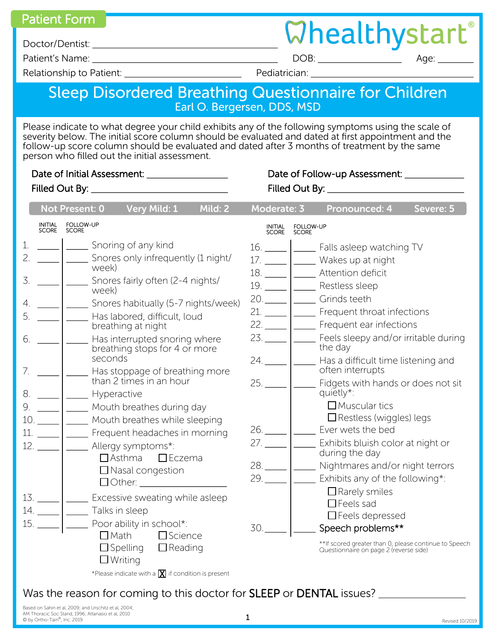Patient Form **Busic Contract Contract Contract Contract Contract Contract Personal Contract Personal Contract Personal Contract Personal Contract Personal Contract Personal Contract Personal Contract Personal Contract Pers** 

Doctor/Dentist:

Patient's Name: DOB: Age:

Relationship to Patient: example and the Pediatrician:

## Sleep Disordered Breathing Questionnaire for Children Earl O. Bergersen, DDS, MSD

Please indicate to what degree your child exhibits any of the following symptoms using the scale of severity below. The initial score column should be evaluated and dated at first appointment and the follow-up score column should be evaluated and dated after 3 months of treatment by the same person who filled out the initial assessment.

| Severe: 5<br>Moderate: 3<br>Pronounced: 4                                                                                                                                                                                                                                                                                                                                                                                                                                                                                                                                                                                                                                                                                                                                                                                        |
|----------------------------------------------------------------------------------------------------------------------------------------------------------------------------------------------------------------------------------------------------------------------------------------------------------------------------------------------------------------------------------------------------------------------------------------------------------------------------------------------------------------------------------------------------------------------------------------------------------------------------------------------------------------------------------------------------------------------------------------------------------------------------------------------------------------------------------|
| FOLLOW-UP<br>SCORE<br>INITIAL<br>SCORE                                                                                                                                                                                                                                                                                                                                                                                                                                                                                                                                                                                                                                                                                                                                                                                           |
| 16. \conclude_16. \conclude_16. \conclude Falls asleep watching TV<br>17. _____   ______ Wakes up at night<br>$19.$ $\qquad$<br><b>Nestless sleep</b><br>20. _____   ______ Grinds teeth<br>Snores habitually (5-7 nights/week)<br>21.   Frequent throat infections<br>22.     Frequent ear infections<br>23. _____  _______ Feels sleepy and/or irritable during<br>the day<br>$24.$ $\frac{\phantom{0}}{\phantom{0}}$<br>Has a difficult time listening and<br>often interrupts<br>Fidgets with hands or does not sit<br>quietly*:<br>$\Box$ Muscular tics<br>$\Box$ Restless (wiggles) legs<br>26. _____   ______ Ever wets the bed<br>27. _____  _______ Exhibits bluish color at night or<br>during the day<br>29.<br>Exhibits any of the following*:<br>$\Box$ Rarely smiles<br>$\Box$ Feels sad<br>$\Box$ Feels depressed |
| Speech problems**<br>30.<br>**If scored greater than 0, please continue to Speech<br>Questionnaire on page 2 (reverse side)                                                                                                                                                                                                                                                                                                                                                                                                                                                                                                                                                                                                                                                                                                      |
|                                                                                                                                                                                                                                                                                                                                                                                                                                                                                                                                                                                                                                                                                                                                                                                                                                  |

Was the reason for coming to this doctor for SLEEP or DENTAL issues? \_\_\_\_\_\_\_\_\_\_\_

Based on Sahin et al, 2009; and Urschitz et al, 2004; AM Thoracic Soc Stand, 1996; Attanasio et al, 2010 © by Ortho-Tain® , Inc. 2019